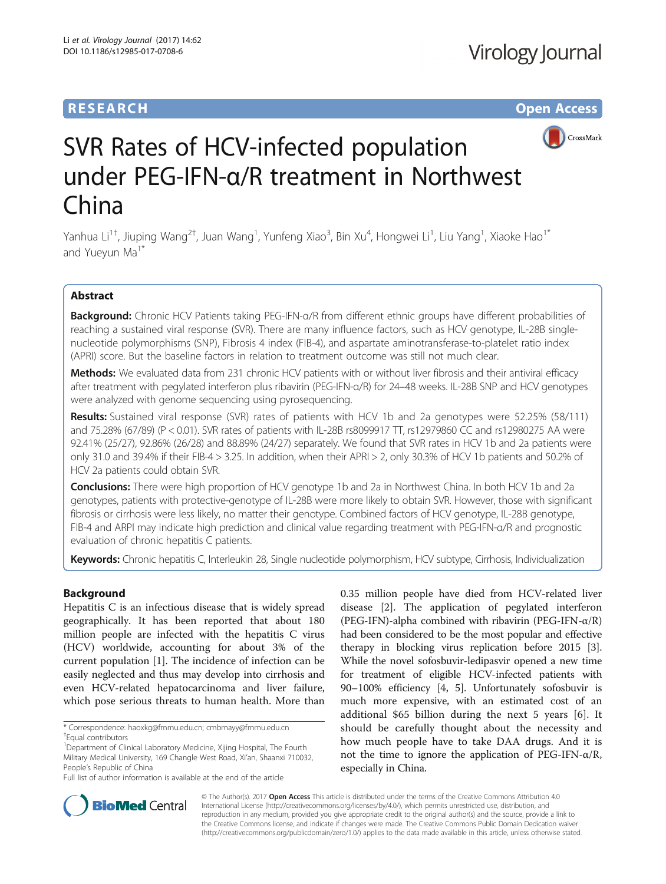# **RESEARCH CHE Open Access**



# SVR Rates of HCV-infected population under PEG-IFN-α/R treatment in Northwest China

Yanhua Li<sup>1†</sup>, Jiuping Wang<sup>2†</sup>, Juan Wang<sup>1</sup>, Yunfeng Xiao<sup>3</sup>, Bin Xu<sup>4</sup>, Hongwei Li<sup>1</sup>, Liu Yang<sup>1</sup>, Xiaoke Hao<sup>1\*</sup> and Yuevun Ma<sup>1\*</sup>

# Abstract

Background: Chronic HCV Patients taking PEG-IFN-α/R from different ethnic groups have different probabilities of reaching a sustained viral response (SVR). There are many influence factors, such as HCV genotype, IL-28B singlenucleotide polymorphisms (SNP), Fibrosis 4 index (FIB-4), and aspartate aminotransferase-to-platelet ratio index (APRI) score. But the baseline factors in relation to treatment outcome was still not much clear.

Methods: We evaluated data from 231 chronic HCV patients with or without liver fibrosis and their antiviral efficacy after treatment with pegylated interferon plus ribavirin (PEG-IFN-α/R) for 24–48 weeks. IL-28B SNP and HCV genotypes were analyzed with genome sequencing using pyrosequencing.

Results: Sustained viral response (SVR) rates of patients with HCV 1b and 2a genotypes were 52.25% (58/111) and 75.28% (67/89) (P < 0.01). SVR rates of patients with IL-28B rs8099917 TT, rs12979860 CC and rs12980275 AA were 92.41% (25/27), 92.86% (26/28) and 88.89% (24/27) separately. We found that SVR rates in HCV 1b and 2a patients were only 31.0 and 39.4% if their FIB-4 > 3.25. In addition, when their APRI > 2, only 30.3% of HCV 1b patients and 50.2% of HCV 2a patients could obtain SVR.

**Conclusions:** There were high proportion of HCV genotype 1b and 2a in Northwest China. In both HCV 1b and 2a genotypes, patients with protective-genotype of IL-28B were more likely to obtain SVR. However, those with significant fibrosis or cirrhosis were less likely, no matter their genotype. Combined factors of HCV genotype, IL-28B genotype, FIB-4 and ARPI may indicate high prediction and clinical value regarding treatment with PEG-IFN-α/R and prognostic evaluation of chronic hepatitis C patients.

Keywords: Chronic hepatitis C, Interleukin 28, Single nucleotide polymorphism, HCV subtype, Cirrhosis, Individualization

# Background

Hepatitis C is an infectious disease that is widely spread geographically. It has been reported that about 180 million people are infected with the hepatitis C virus (HCV) worldwide, accounting for about 3% of the current population [[1\]](#page-6-0). The incidence of infection can be easily neglected and thus may develop into cirrhosis and even HCV-related hepatocarcinoma and liver failure, which pose serious threats to human health. More than

0.35 million people have died from HCV-related liver disease [[2\]](#page-6-0). The application of pegylated interferon (PEG-IFN)-alpha combined with ribavirin (PEG-IFN-α/R) had been considered to be the most popular and effective therapy in blocking virus replication before 2015 [[3](#page-6-0)]. While the novel sofosbuvir-ledipasvir opened a new time for treatment of eligible HCV-infected patients with 90–100% efficiency [\[4](#page-6-0), [5\]](#page-6-0). Unfortunately sofosbuvir is much more expensive, with an estimated cost of an additional \$65 billion during the next 5 years [\[6](#page-6-0)]. It should be carefully thought about the necessity and how much people have to take DAA drugs. And it is not the time to ignore the application of PEG-IFN-α/R, especially in China.



© The Author(s). 2017 **Open Access** This article is distributed under the terms of the Creative Commons Attribution 4.0 International License [\(http://creativecommons.org/licenses/by/4.0/](http://creativecommons.org/licenses/by/4.0/)), which permits unrestricted use, distribution, and reproduction in any medium, provided you give appropriate credit to the original author(s) and the source, provide a link to the Creative Commons license, and indicate if changes were made. The Creative Commons Public Domain Dedication waiver [\(http://creativecommons.org/publicdomain/zero/1.0/](http://creativecommons.org/publicdomain/zero/1.0/)) applies to the data made available in this article, unless otherwise stated.

<sup>\*</sup> Correspondence: [haoxkg@fmmu.edu.cn](mailto:haoxkg@fmmu.edu.cn); [cmbmayy@fmmu.edu.cn](mailto:cmbmayy@fmmu.edu.cn) †

Equal contributors

<sup>&</sup>lt;sup>1</sup>Department of Clinical Laboratory Medicine, Xijing Hospital, The Fourth Military Medical University, 169 Changle West Road, Xi'an, Shaanxi 710032, People's Republic of China

Full list of author information is available at the end of the article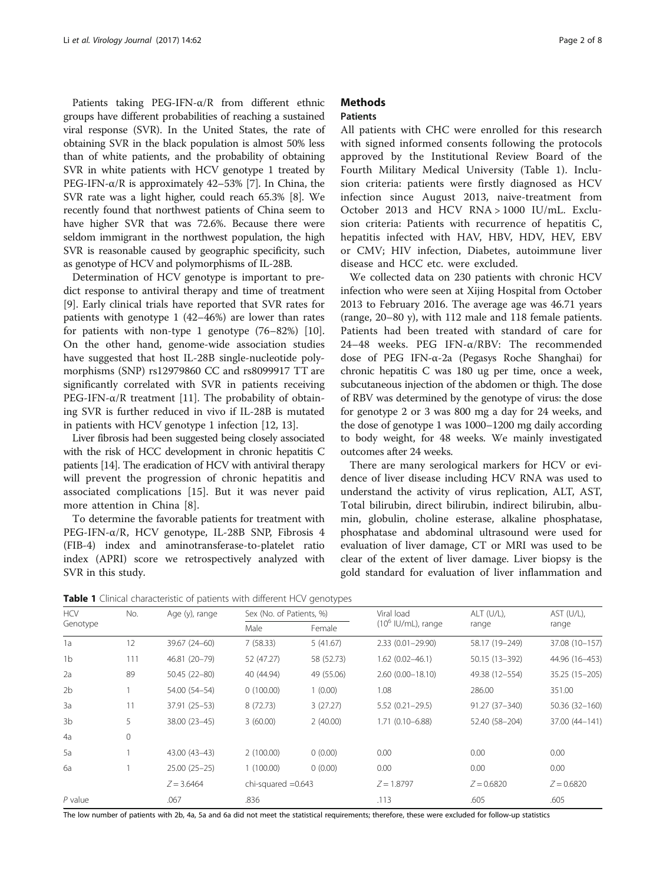Patients taking PEG-IFN-α/R from different ethnic groups have different probabilities of reaching a sustained viral response (SVR). In the United States, the rate of obtaining SVR in the black population is almost 50% less than of white patients, and the probability of obtaining SVR in white patients with HCV genotype 1 treated by PEG-IFN-α/R is approximately 42–53% [\[7](#page-6-0)]. In China, the SVR rate was a light higher, could reach 65.3% [\[8\]](#page-6-0). We recently found that northwest patients of China seem to have higher SVR that was 72.6%. Because there were seldom immigrant in the northwest population, the high SVR is reasonable caused by geographic specificity, such as genotype of HCV and polymorphisms of IL-28B.

Determination of HCV genotype is important to predict response to antiviral therapy and time of treatment [[9\]](#page-6-0). Early clinical trials have reported that SVR rates for patients with genotype 1 (42–46%) are lower than rates for patients with non-type 1 genotype (76–82%) [\[10](#page-6-0)]. On the other hand, genome-wide association studies have suggested that host IL-28B single-nucleotide polymorphisms (SNP) rs12979860 CC and rs8099917 TT are significantly correlated with SVR in patients receiving PEG-IFN- $α/R$  treatment [[11](#page-6-0)]. The probability of obtaining SVR is further reduced in vivo if IL-28B is mutated in patients with HCV genotype 1 infection [[12, 13\]](#page-6-0).

Liver fibrosis had been suggested being closely associated with the risk of HCC development in chronic hepatitis C patients [\[14](#page-6-0)]. The eradication of HCV with antiviral therapy will prevent the progression of chronic hepatitis and associated complications [[15](#page-6-0)]. But it was never paid more attention in China [[8\]](#page-6-0).

To determine the favorable patients for treatment with PEG-IFN-α/R, HCV genotype, IL-28B SNP, Fibrosis 4 (FIB-4) index and aminotransferase-to-platelet ratio index (APRI) score we retrospectively analyzed with SVR in this study.

# **Methods**

## **Patients**

All patients with CHC were enrolled for this research with signed informed consents following the protocols approved by the Institutional Review Board of the Fourth Military Medical University (Table 1). Inclusion criteria: patients were firstly diagnosed as HCV infection since August 2013, naive-treatment from October 2013 and HCV RNA > 1000 IU/mL. Exclusion criteria: Patients with recurrence of hepatitis C, hepatitis infected with HAV, HBV, HDV, HEV, EBV or CMV; HIV infection, Diabetes, autoimmune liver disease and HCC etc. were excluded.

We collected data on 230 patients with chronic HCV infection who were seen at Xijing Hospital from October 2013 to February 2016. The average age was 46.71 years (range, 20–80 y), with 112 male and 118 female patients. Patients had been treated with standard of care for 24–48 weeks. PEG IFN-α/RBV: The recommended dose of PEG IFN-α-2a (Pegasys Roche Shanghai) for chronic hepatitis C was 180 ug per time, once a week, subcutaneous injection of the abdomen or thigh. The dose of RBV was determined by the genotype of virus: the dose for genotype 2 or 3 was 800 mg a day for 24 weeks, and the dose of genotype 1 was 1000–1200 mg daily according to body weight, for 48 weeks. We mainly investigated outcomes after 24 weeks.

There are many serological markers for HCV or evidence of liver disease including HCV RNA was used to understand the activity of virus replication, ALT, AST, Total bilirubin, direct bilirubin, indirect bilirubin, albumin, globulin, choline esterase, alkaline phosphatase, phosphatase and abdominal ultrasound were used for evaluation of liver damage, CT or MRI was used to be clear of the extent of liver damage. Liver biopsy is the gold standard for evaluation of liver inflammation and

**Table 1** Clinical characteristic of patients with different HCV genotypes

| <b>HCV</b><br>Genotype | No.         | Age (y), range | Sex (No. of Patients, %) |            | Viral load            | ALT (U/L),     | AST (U/L),     |
|------------------------|-------------|----------------|--------------------------|------------|-----------------------|----------------|----------------|
|                        |             |                | Male                     | Female     | $(10^6$ IU/mL), range | range          | range          |
| 1a                     | 12          | 39.67 (24-60)  | 7(58.33)                 | 5(41.67)   | $2.33(0.01 - 29.90)$  | 58.17 (19-249) | 37.08 (10-157) |
| 1 <sub>b</sub>         | 111         | 46.81 (20-79)  | 52 (47.27)               | 58 (52.73) | $1.62(0.02 - 46.1)$   | 50.15 (13-392) | 44.96 (16-453) |
| 2a                     | 89          | 50.45 (22-80)  | 40 (44.94)               | 49 (55.06) | $2.60(0.00 - 18.10)$  | 49.38 (12-554) | 35.25 (15-205) |
| 2b                     |             | 54.00 (54-54)  | 0(100.00)                | 1(0.00)    | 1.08                  | 286.00         | 351.00         |
| 3a                     | 11          | 37.91 (25-53)  | 8(72.73)                 | 3(27.27)   | 5.52 (0.21-29.5)      | 91.27 (37-340) | 50.36 (32-160) |
| 3b                     | 5           | 38.00 (23-45)  | 3(60.00)                 | 2(40.00)   | $1.71(0.10 - 6.88)$   | 52.40 (58-204) | 37.00 (44-141) |
| 4a                     | $\mathbf 0$ |                |                          |            |                       |                |                |
| 5a                     |             | 43.00 (43-43)  | 2(100.00)                | 0(0.00)    | 0.00                  | 0.00           | 0.00           |
| 6a                     |             | 25.00 (25-25)  | 1(100.00)                | 0(0.00)    | 0.00                  | 0.00           | 0.00           |
|                        |             | $Z = 3.6464$   | chi-squared $=0.643$     |            | $Z = 1.8797$          | $Z = 0.6820$   | $Z = 0.6820$   |
| $P$ value              |             | .067           | .836                     |            | .113                  | .605           | .605           |

The low number of patients with 2b, 4a, 5a and 6a did not meet the statistical requirements; therefore, these were excluded for follow-up statistics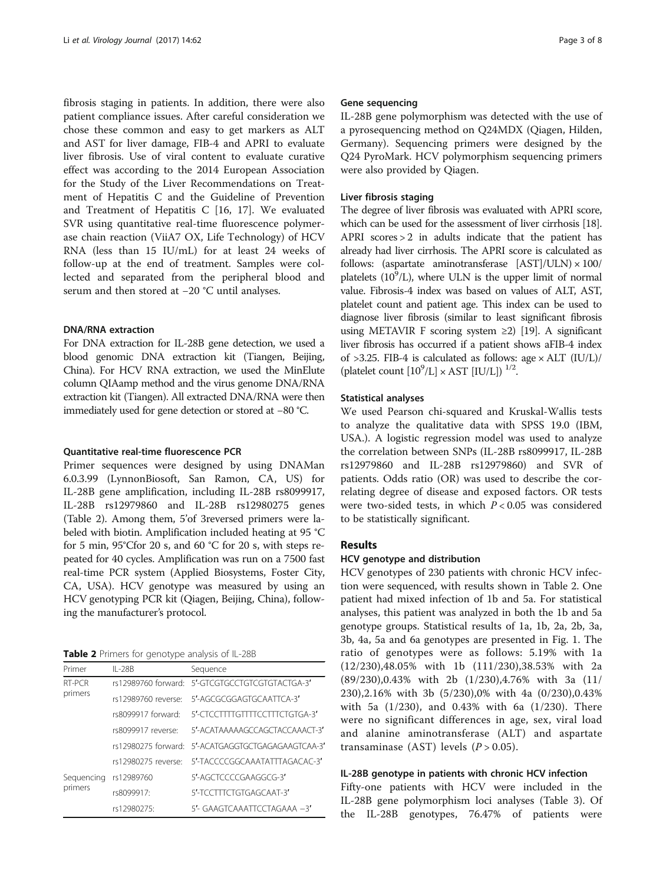fibrosis staging in patients. In addition, there were also patient compliance issues. After careful consideration we chose these common and easy to get markers as ALT and AST for liver damage, FIB-4 and APRI to evaluate liver fibrosis. Use of viral content to evaluate curative effect was according to the 2014 European Association for the Study of the Liver Recommendations on Treatment of Hepatitis C and the Guideline of Prevention and Treatment of Hepatitis C [\[16](#page-6-0), [17](#page-6-0)]. We evaluated SVR using quantitative real-time fluorescence polymerase chain reaction (ViiA7 OX, Life Technology) of HCV RNA (less than 15 IU/mL) for at least 24 weeks of follow-up at the end of treatment. Samples were collected and separated from the peripheral blood and serum and then stored at −20 °C until analyses.

#### DNA/RNA extraction

For DNA extraction for IL-28B gene detection, we used a blood genomic DNA extraction kit (Tiangen, Beijing, China). For HCV RNA extraction, we used the MinElute column QIAamp method and the virus genome DNA/RNA extraction kit (Tiangen). All extracted DNA/RNA were then immediately used for gene detection or stored at −80 °C.

#### Quantitative real-time fluorescence PCR

Primer sequences were designed by using DNAMan 6.0.3.99 (LynnonBiosoft, San Ramon, CA, US) for IL-28B gene amplification, including IL-28B rs8099917, IL-28B rs12979860 and IL-28B rs12980275 genes (Table 2). Among them, 5'of 3reversed primers were labeled with biotin. Amplification included heating at 95 °C for 5 min, 95°Cfor 20 s, and 60 °C for 20 s, with steps repeated for 40 cycles. Amplification was run on a 7500 fast real-time PCR system (Applied Biosystems, Foster City, CA, USA). HCV genotype was measured by using an HCV genotyping PCR kit (Qiagen, Beijing, China), following the manufacturer's protocol.

Table 2 Primers for genotype analysis of IL-28B

| Primer     | $II - 28B$          | Sequence                                           |
|------------|---------------------|----------------------------------------------------|
| RT-PCR     |                     | rs12989760 forward: 5'-GTCGTGCCTGTCGTGTACTGA-3'    |
| primers    | rs12989760 reverse: | 5'-AGCGCGGAGTGCAATTCA-3'                           |
|            | rs8099917 forward:  | 5'-CICCITITGITITCCITICIGIGA-3'                     |
|            | rs8099917 reverse:  | 5'-ACATAAAAAGCCAGCTACCAAACT-3'                     |
|            |                     | rs12980275 forward: 5'-ACATGAGGTGCTGAGAGAAGTCAA-3' |
|            | rs12980275 reverse: | 5'-TACCCCGGCAAATATTTAGACAC-3'                      |
| Sequencing | rs12989760          | 5'-AGCTCCCCGAAGGCG-3'                              |
| primers    | rs8099917:          | 5'-TCCTTTCTGTGAGCAAT-3'                            |
|            | rs12980275:         | 5'- GAAGTCAAATTCCTAGAAA -3'                        |

#### Gene sequencing

IL-28B gene polymorphism was detected with the use of a pyrosequencing method on Q24MDX (Qiagen, Hilden, Germany). Sequencing primers were designed by the Q24 PyroMark. HCV polymorphism sequencing primers were also provided by Qiagen.

#### Liver fibrosis staging

The degree of liver fibrosis was evaluated with APRI score, which can be used for the assessment of liver cirrhosis [\[18](#page-6-0)]. APRI scores > 2 in adults indicate that the patient has already had liver cirrhosis. The APRI score is calculated as follows: (aspartate aminotransferase  $[AST]/ULN \times 100/$ platelets  $(10^9/L)$ , where ULN is the upper limit of normal value. Fibrosis-4 index was based on values of ALT, AST, platelet count and patient age. This index can be used to diagnose liver fibrosis (similar to least significant fibrosis using METAVIR F scoring system ≥2) [[19](#page-6-0)]. A significant liver fibrosis has occurred if a patient shows aFIB-4 index of  $>3.25$ . FIB-4 is calculated as follows: age  $\times$  ALT (IU/L)/ (platelet count  $[10^9/L] \times \text{AST}$   $[IU/L])$  <sup>1/2</sup>.

#### Statistical analyses

We used Pearson chi-squared and Kruskal-Wallis tests to analyze the qualitative data with SPSS 19.0 (IBM, USA.). A logistic regression model was used to analyze the correlation between SNPs (IL-28B rs8099917, IL-28B rs12979860 and IL-28B rs12979860) and SVR of patients. Odds ratio (OR) was used to describe the correlating degree of disease and exposed factors. OR tests were two-sided tests, in which  $P < 0.05$  was considered to be statistically significant.

#### Results

#### HCV genotype and distribution

HCV genotypes of 230 patients with chronic HCV infection were sequenced, with results shown in Table 2. One patient had mixed infection of 1b and 5a. For statistical analyses, this patient was analyzed in both the 1b and 5a genotype groups. Statistical results of 1a, 1b, 2a, 2b, 3a, 3b, 4a, 5a and 6a genotypes are presented in Fig. [1.](#page-3-0) The ratio of genotypes were as follows: 5.19% with 1a (12/230),48.05% with 1b (111/230),38.53% with 2a (89/230),0.43% with 2b (1/230),4.76% with 3a (11/ 230),2.16% with 3b (5/230),0% with 4a (0/230),0.43% with 5a (1/230), and 0.43% with 6a (1/230). There were no significant differences in age, sex, viral load and alanine aminotransferase (ALT) and aspartate transaminase (AST) levels  $(P > 0.05)$ .

#### IL-28B genotype in patients with chronic HCV infection

Fifty-one patients with HCV were included in the IL-28B gene polymorphism loci analyses (Table [3\)](#page-3-0). Of the IL-28B genotypes, 76.47% of patients were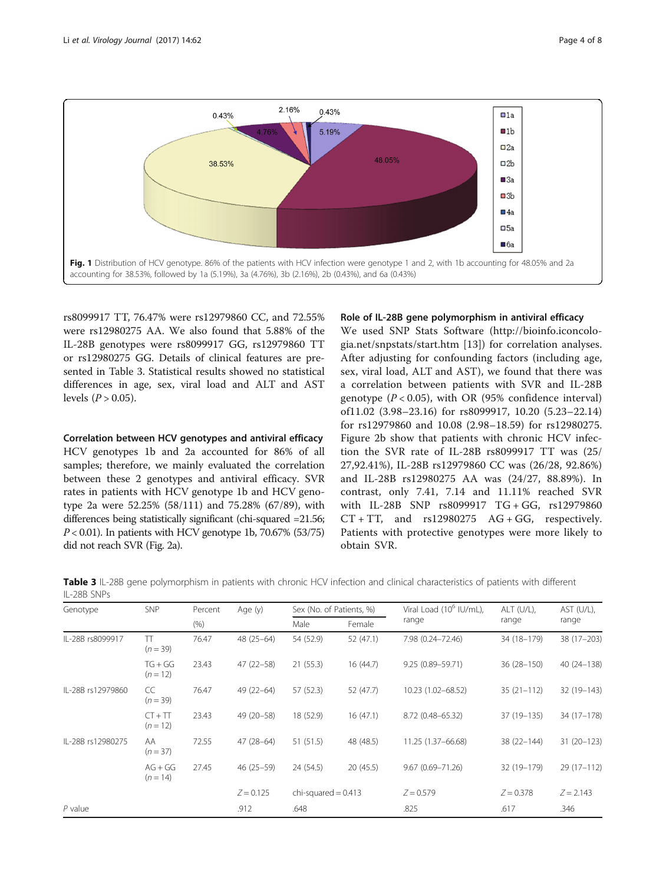<span id="page-3-0"></span>

rs8099917 TT, 76.47% were rs12979860 CC, and 72.55% were rs12980275 AA. We also found that 5.88% of the IL-28B genotypes were rs8099917 GG, rs12979860 TT or rs12980275 GG. Details of clinical features are presented in Table 3. Statistical results showed no statistical differences in age, sex, viral load and ALT and AST levels  $(P > 0.05)$ .

Correlation between HCV genotypes and antiviral efficacy HCV genotypes 1b and 2a accounted for 86% of all samples; therefore, we mainly evaluated the correlation between these 2 genotypes and antiviral efficacy. SVR rates in patients with HCV genotype 1b and HCV genotype 2a were 52.25% (58/111) and 75.28% (67/89), with differences being statistically significant (chi-squared =21.56;  $P < 0.01$ ). In patients with HCV genotype 1b, 70.67% (53/75) did not reach SVR (Fig. [2a](#page-4-0)).

#### Role of IL-28B gene polymorphism in antiviral efficacy

We used SNP Stats Software [\(http://bioinfo.iconcolo](http://bioinfo.iconcologia.net/snpstats/start.htm)[gia.net/snpstats/start.htm](http://bioinfo.iconcologia.net/snpstats/start.htm) [[13\]](#page-6-0)) for correlation analyses. After adjusting for confounding factors (including age, sex, viral load, ALT and AST), we found that there was a correlation between patients with SVR and IL-28B genotype  $(P < 0.05)$ , with OR (95% confidence interval) of11.02 (3.98–23.16) for rs8099917, 10.20 (5.23–22.14) for rs12979860 and 10.08 (2.98–18.59) for rs12980275. Figure [2b](#page-4-0) show that patients with chronic HCV infection the SVR rate of IL-28B rs8099917 TT was (25/ 27,92.41%), IL-28B rs12979860 CC was (26/28, 92.86%) and IL-28B rs12980275 AA was (24/27, 88.89%). In contrast, only 7.41, 7.14 and 11.11% reached SVR with IL-28B SNP rs8099917 TG + GG, rs12979860  $CT + TT$ , and  $rs12980275$   $AG + GG$ , respectively. Patients with protective genotypes were more likely to obtain SVR.

Table 3 IL-28B gene polymorphism in patients with chronic HCV infection and clinical characteristics of patients with different IL-28B SNPs

| Genotype          | <b>SNP</b>              | Percent | Age (y)       | Sex (No. of Patients, %) |           | Viral Load (10 <sup>6</sup> IU/mL), | ALT (U/L),    | AST (U/L)    |
|-------------------|-------------------------|---------|---------------|--------------------------|-----------|-------------------------------------|---------------|--------------|
|                   |                         | (% )    |               | Male                     | Female    | range                               | range         | range        |
| IL-28B rs8099917  | π<br>$(n = 39)$         | 76.47   | $48(25-64)$   | 54 (52.9)                | 52 (47.1) | 7.98 (0.24-72.46)                   | 34 (18-179)   | 38 (17-203)  |
|                   | $TG + GG$<br>$(n = 12)$ | 23.43   | $47(22 - 58)$ | 21(55.3)                 | 16(44.7)  | 9.25 (0.89-59.71)                   | 36 (28-150)   | 40 (24-138)  |
| IL-28B rs12979860 | CC<br>$(n = 39)$        | 76.47   | $49(22 - 64)$ | 57 (52.3)                | 52 (47.7) | 10.23 (1.02-68.52)                  | $35(21-112)$  | 32 (19-143)  |
|                   | $CT + TT$<br>$(n = 12)$ | 23.43   | 49 (20-58)    | 18 (52.9)                | 16(47.1)  | 8.72 (0.48-65.32)                   | 37 (19 - 135) | 34 (17-178)  |
| IL-28B rs12980275 | AA<br>$(n=37)$          | 72.55   | $47(28-64)$   | 51(51.5)                 | 48 (48.5) | 11.25 (1.37-66.68)                  | 38 (22-144)   | 31 (20-123)  |
|                   | $AG + GG$<br>$(n = 14)$ | 27.45   | $46(25-59)$   | 24 (54.5)                | 20(45.5)  | $9.67(0.69 - 71.26)$                | 32 (19-179)   | $29(17-112)$ |
|                   |                         |         | $Z = 0.125$   | chi-squared $= 0.413$    |           | $Z = 0.579$                         | $Z = 0.378$   | $Z = 2.143$  |
| $P$ value         |                         |         | .912          | .648                     |           | .825                                | .617          | .346         |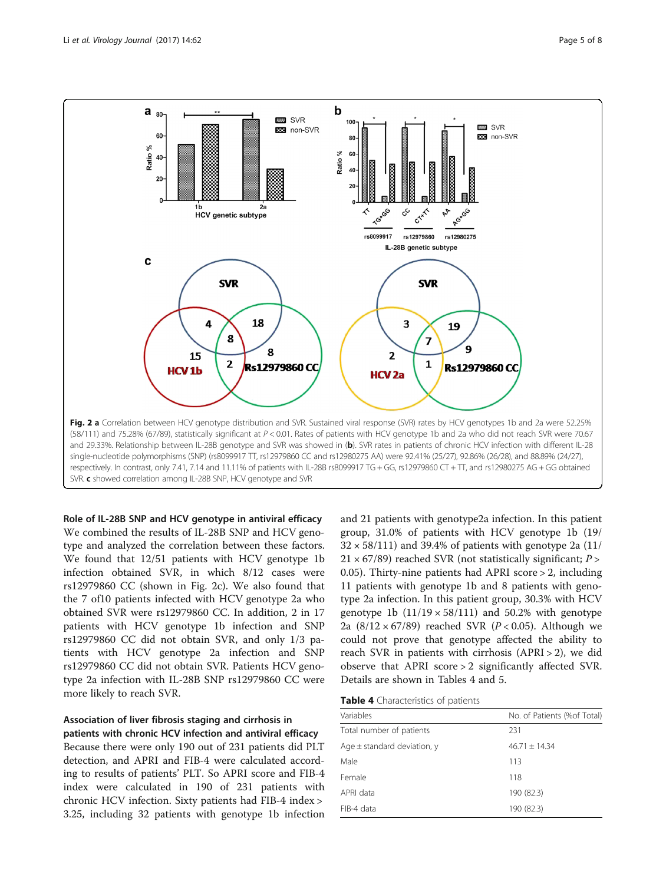<span id="page-4-0"></span>

Role of IL-28B SNP and HCV genotype in antiviral efficacy We combined the results of IL-28B SNP and HCV genotype and analyzed the correlation between these factors. We found that 12/51 patients with HCV genotype 1b infection obtained SVR, in which 8/12 cases were rs12979860 CC (shown in Fig. 2c). We also found that the 7 of10 patients infected with HCV genotype 2a who obtained SVR were rs12979860 CC. In addition, 2 in 17 patients with HCV genotype 1b infection and SNP rs12979860 CC did not obtain SVR, and only 1/3 patients with HCV genotype 2a infection and SNP rs12979860 CC did not obtain SVR. Patients HCV genotype 2a infection with IL-28B SNP rs12979860 CC were more likely to reach SVR.

# Association of liver fibrosis staging and cirrhosis in patients with chronic HCV infection and antiviral efficacy Because there were only 190 out of 231 patients did PLT detection, and APRI and FIB-4 were calculated according to results of patients' PLT. So APRI score and FIB-4 index were calculated in 190 of 231 patients with chronic HCV infection. Sixty patients had FIB-4 index > 3.25, including 32 patients with genotype 1b infection

and 21 patients with genotype2a infection. In this patient group, 31.0% of patients with HCV genotype 1b (19/  $32 \times 58/111$ ) and 39.4% of patients with genotype 2a (11/  $21 \times 67/89$ ) reached SVR (not statistically significant; P > 0.05). Thirty-nine patients had APRI score > 2, including 11 patients with genotype 1b and 8 patients with genotype 2a infection. In this patient group, 30.3% with HCV genotype 1b  $(11/19 \times 58/111)$  and 50.2% with genotype 2a  $(8/12 \times 67/89)$  reached SVR ( $P < 0.05$ ). Although we could not prove that genotype affected the ability to reach SVR in patients with cirrhosis (APRI > 2), we did observe that APRI score > 2 significantly affected SVR. Details are shown in Tables 4 and [5.](#page-5-0)

| Table 4 Characteristics of patients |  |
|-------------------------------------|--|
|-------------------------------------|--|

| Variables                       | No. of Patients (%of Total) |
|---------------------------------|-----------------------------|
| Total number of patients        | 231                         |
| Age $\pm$ standard deviation, y | $46.71 + 14.34$             |
| Male                            | 113                         |
| Female                          | 118                         |
| APRI data                       | 190 (82.3)                  |
| FIB-4 data                      | 190 (82.3)                  |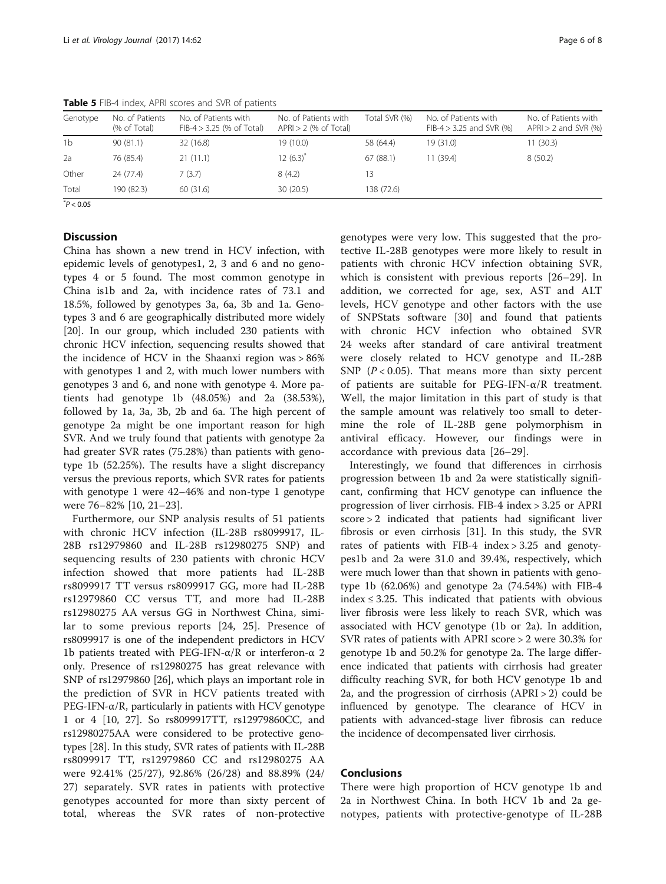| Genotype       | No. of Patients<br>(% of Total) | No. of Patients with<br>$FIB-4 > 3.25$ (% of Total) | No. of Patients with<br>$APRI > 2$ (% of Total) | Total SVR (%) | No. of Patients with<br>$FIB-4 > 3.25$ and SVR $(\%)$ | No. of Patients with<br>$APRI > 2$ and SVR (%) |
|----------------|---------------------------------|-----------------------------------------------------|-------------------------------------------------|---------------|-------------------------------------------------------|------------------------------------------------|
| 1 <sub>b</sub> | 90(81.1)                        | 32 (16.8)                                           | 19 (10.0)                                       | 58 (64.4)     | 19(31.0)                                              | 11 (30.3)                                      |
| 2a             | 76 (85.4)                       | 21(11.1)                                            | $12(6.3)^{*}$                                   | 67(88.1)      | 11 (39.4)                                             | 8(50.2)                                        |
| Other          | 24 (77.4)                       | 7(3.7)                                              | 8(4.2)                                          | 13            |                                                       |                                                |
| Total          | 190 (82.3)                      | 60 (31.6)                                           | 30(20.5)                                        | 138 (72.6)    |                                                       |                                                |

<span id="page-5-0"></span>Table 5 FIB-4 index, APRI scores and SVR of patients

 $*P < 0.05$ 

# **Discussion**

China has shown a new trend in HCV infection, with epidemic levels of genotypes1, 2, 3 and 6 and no genotypes 4 or 5 found. The most common genotype in China is1b and 2a, with incidence rates of 73.1 and 18.5%, followed by genotypes 3a, 6a, 3b and 1a. Genotypes 3 and 6 are geographically distributed more widely [[20\]](#page-6-0). In our group, which included 230 patients with chronic HCV infection, sequencing results showed that the incidence of HCV in the Shaanxi region was > 86% with genotypes 1 and 2, with much lower numbers with genotypes 3 and 6, and none with genotype 4. More patients had genotype 1b (48.05%) and 2a (38.53%), followed by 1a, 3a, 3b, 2b and 6a. The high percent of genotype 2a might be one important reason for high SVR. And we truly found that patients with genotype 2a had greater SVR rates (75.28%) than patients with genotype 1b (52.25%). The results have a slight discrepancy versus the previous reports, which SVR rates for patients with genotype 1 were 42–46% and non-type 1 genotype were 76–82% [\[10](#page-6-0), [21](#page-6-0)–[23\]](#page-6-0).

Furthermore, our SNP analysis results of 51 patients with chronic HCV infection (IL-28B rs8099917, IL-28B rs12979860 and IL-28B rs12980275 SNP) and sequencing results of 230 patients with chronic HCV infection showed that more patients had IL-28B rs8099917 TT versus rs8099917 GG, more had IL-28B rs12979860 CC versus TT, and more had IL-28B rs12980275 AA versus GG in Northwest China, similar to some previous reports [[24, 25](#page-6-0)]. Presence of rs8099917 is one of the independent predictors in HCV 1b patients treated with PEG-IFN- $\alpha$ /R or interferon-α 2 only. Presence of rs12980275 has great relevance with SNP of rs12979860 [\[26\]](#page-6-0), which plays an important role in the prediction of SVR in HCV patients treated with PEG-IFN-α/R, particularly in patients with HCV genotype 1 or 4 [[10](#page-6-0), [27\]](#page-7-0). So rs8099917TT, rs12979860CC, and rs12980275AA were considered to be protective genotypes [\[28\]](#page-7-0). In this study, SVR rates of patients with IL-28B rs8099917 TT, rs12979860 CC and rs12980275 AA were 92.41% (25/27), 92.86% (26/28) and 88.89% (24/ 27) separately. SVR rates in patients with protective genotypes accounted for more than sixty percent of total, whereas the SVR rates of non-protective genotypes were very low. This suggested that the protective IL-28B genotypes were more likely to result in patients with chronic HCV infection obtaining SVR, which is consistent with previous reports [[26](#page-6-0)–[29\]](#page-7-0). In addition, we corrected for age, sex, AST and ALT levels, HCV genotype and other factors with the use of SNPStats software [[30\]](#page-7-0) and found that patients with chronic HCV infection who obtained SVR 24 weeks after standard of care antiviral treatment were closely related to HCV genotype and IL-28B SNP  $(P < 0.05)$ . That means more than sixty percent of patients are suitable for PEG-IFN-α/R treatment. Well, the major limitation in this part of study is that the sample amount was relatively too small to determine the role of IL-28B gene polymorphism in antiviral efficacy. However, our findings were in accordance with previous data [[26](#page-6-0)–[29\]](#page-7-0).

Interestingly, we found that differences in cirrhosis progression between 1b and 2a were statistically significant, confirming that HCV genotype can influence the progression of liver cirrhosis. FIB-4 index > 3.25 or APRI score > 2 indicated that patients had significant liver fibrosis or even cirrhosis [[31\]](#page-7-0). In this study, the SVR rates of patients with FIB-4 index > 3.25 and genotypes1b and 2a were 31.0 and 39.4%, respectively, which were much lower than that shown in patients with genotype 1b (62.06%) and genotype 2a (74.54%) with FIB-4 index  $\leq$  3.25. This indicated that patients with obvious liver fibrosis were less likely to reach SVR, which was associated with HCV genotype (1b or 2a). In addition, SVR rates of patients with APRI score > 2 were 30.3% for genotype 1b and 50.2% for genotype 2a. The large difference indicated that patients with cirrhosis had greater difficulty reaching SVR, for both HCV genotype 1b and 2a, and the progression of cirrhosis  $(APRI > 2)$  could be influenced by genotype. The clearance of HCV in patients with advanced-stage liver fibrosis can reduce the incidence of decompensated liver cirrhosis.

### Conclusions

There were high proportion of HCV genotype 1b and 2a in Northwest China. In both HCV 1b and 2a genotypes, patients with protective-genotype of IL-28B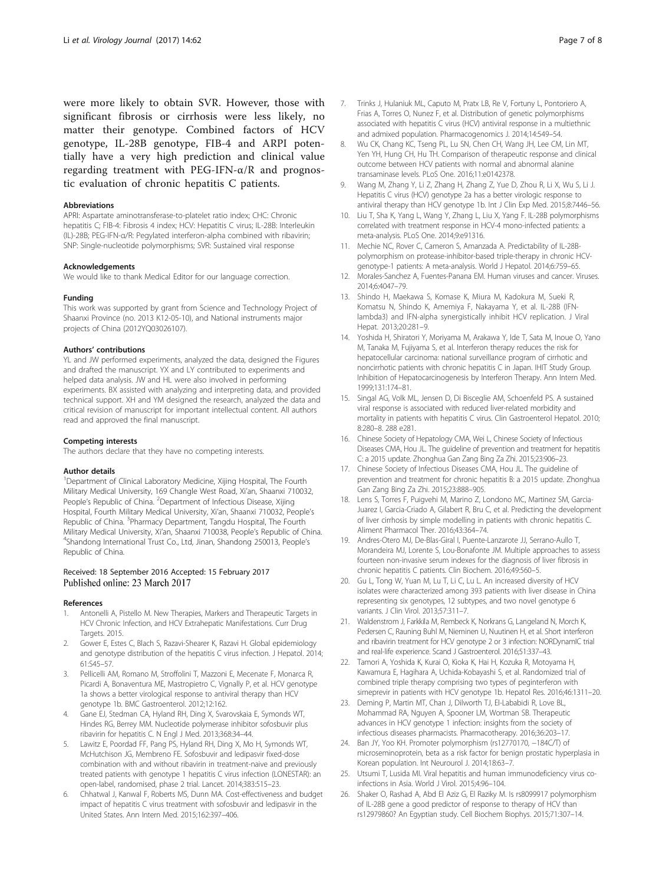<span id="page-6-0"></span>were more likely to obtain SVR. However, those with significant fibrosis or cirrhosis were less likely, no matter their genotype. Combined factors of HCV genotype, IL-28B genotype, FIB-4 and ARPI potentially have a very high prediction and clinical value regarding treatment with PEG-IFN-α/R and prognostic evaluation of chronic hepatitis C patients.

#### Abbreviations

APRI: Aspartate aminotransferase-to-platelet ratio index; CHC: Chronic hepatitis C; FIB-4: Fibrosis 4 index; HCV: Hepatitis C virus; IL-28B: Interleukin (IL)-28B; PEG-IFN-α/R: Pegylated interferon-alpha combined with ribavirin; SNP: Single-nucleotide polymorphisms; SVR: Sustained viral response

#### Acknowledgements

We would like to thank Medical Editor for our language correction.

#### Funding

This work was supported by grant from Science and Technology Project of Shaanxi Province (no. 2013 K12-05-10), and National instruments major projects of China (2012YQ03026107).

#### Authors' contributions

YL and JW performed experiments, analyzed the data, designed the Figures and drafted the manuscript. YX and LY contributed to experiments and helped data analysis. JW and HL were also involved in performing experiments. BX assisted with analyzing and interpreting data, and provided technical support. XH and YM designed the research, analyzed the data and critical revision of manuscript for important intellectual content. All authors read and approved the final manuscript.

#### Competing interests

The authors declare that they have no competing interests.

#### Author details

<sup>1</sup>Department of Clinical Laboratory Medicine, Xijing Hospital, The Fourth Military Medical University, 169 Changle West Road, Xi'an, Shaanxi 710032, People's Republic of China. <sup>2</sup>Department of Infectious Disease, Xijing Hospital, Fourth Military Medical University, Xi'an, Shaanxi 710032, People's Republic of China. <sup>3</sup> Pharmacy Department, Tangdu Hospital, The Fourth Military Medical University, Xi'an, Shaanxi 710038, People's Republic of China. <sup>4</sup> <sup>4</sup>Shandong International Trust Co., Ltd, Jinan, Shandong 250013, People's Republic of China.

#### Received: 18 September 2016 Accepted: 15 February 2017 Published online: 23 March 2017

#### References

- 1. Antonelli A, Pistello M. New Therapies, Markers and Therapeutic Targets in HCV Chronic Infection, and HCV Extrahepatic Manifestations. Curr Drug Targets. 2015.
- 2. Gower E, Estes C, Blach S, Razavi-Shearer K, Razavi H. Global epidemiology and genotype distribution of the hepatitis C virus infection. J Hepatol. 2014; 61:S45–57.
- 3. Pellicelli AM, Romano M, Stroffolini T, Mazzoni E, Mecenate F, Monarca R, Picardi A, Bonaventura ME, Mastropietro C, Vignally P, et al. HCV genotype 1a shows a better virological response to antiviral therapy than HCV genotype 1b. BMC Gastroenterol. 2012;12:162.
- 4. Gane EJ, Stedman CA, Hyland RH, Ding X, Svarovskaia E, Symonds WT, Hindes RG, Berrey MM. Nucleotide polymerase inhibitor sofosbuvir plus ribavirin for hepatitis C. N Engl J Med. 2013;368:34–44.
- 5. Lawitz E, Poordad FF, Pang PS, Hyland RH, Ding X, Mo H, Symonds WT, McHutchison JG, Membreno FE. Sofosbuvir and ledipasvir fixed-dose combination with and without ribavirin in treatment-naive and previously treated patients with genotype 1 hepatitis C virus infection (LONESTAR): an open-label, randomised, phase 2 trial. Lancet. 2014;383:515–23.
- 6. Chhatwal J, Kanwal F, Roberts MS, Dunn MA. Cost-effectiveness and budget impact of hepatitis C virus treatment with sofosbuvir and ledipasvir in the United States. Ann Intern Med. 2015;162:397–406.
- Frias A, Torres O, Nunez F, et al. Distribution of genetic polymorphisms associated with hepatitis C virus (HCV) antiviral response in a multiethnic and admixed population. Pharmacogenomics J. 2014;14:549–54.
- 8. Wu CK, Chang KC, Tseng PL, Lu SN, Chen CH, Wang JH, Lee CM, Lin MT, Yen YH, Hung CH, Hu TH. Comparison of therapeutic response and clinical outcome between HCV patients with normal and abnormal alanine transaminase levels. PLoS One. 2016;11:e0142378.
- 9. Wang M, Zhang Y, Li Z, Zhang H, Zhang Z, Yue D, Zhou R, Li X, Wu S, Li J. Hepatitis C virus (HCV) genotype 2a has a better virologic response to antiviral therapy than HCV genotype 1b. Int J Clin Exp Med. 2015;8:7446–56.
- 10. Liu T, Sha K, Yang L, Wang Y, Zhang L, Liu X, Yang F. IL-28B polymorphisms correlated with treatment response in HCV-4 mono-infected patients: a meta-analysis. PLoS One. 2014;9:e91316.
- 11. Mechie NC, Rover C, Cameron S, Amanzada A. Predictability of IL-28Bpolymorphism on protease-inhibitor-based triple-therapy in chronic HCVgenotype-1 patients: A meta-analysis. World J Hepatol. 2014;6:759–65.
- 12. Morales-Sanchez A, Fuentes-Panana EM. Human viruses and cancer. Viruses. 2014;6:4047–79.
- 13. Shindo H, Maekawa S, Komase K, Miura M, Kadokura M, Sueki R, Komatsu N, Shindo K, Amemiya F, Nakayama Y, et al. IL-28B (IFNlambda3) and IFN-alpha synergistically inhibit HCV replication. J Viral Hepat. 2013;20:281–9.
- 14. Yoshida H, Shiratori Y, Moriyama M, Arakawa Y, Ide T, Sata M, Inoue O, Yano M, Tanaka M, Fujiyama S, et al. Interferon therapy reduces the risk for hepatocellular carcinoma: national surveillance program of cirrhotic and noncirrhotic patients with chronic hepatitis C in Japan. IHIT Study Group. Inhibition of Hepatocarcinogenesis by Interferon Therapy. Ann Intern Med. 1999;131:174–81.
- 15. Singal AG, Volk ML, Jensen D, Di Bisceglie AM, Schoenfeld PS. A sustained viral response is associated with reduced liver-related morbidity and mortality in patients with hepatitis C virus. Clin Gastroenterol Hepatol. 2010; 8:280–8. 288 e281.
- 16. Chinese Society of Hepatology CMA, Wei L, Chinese Society of Infectious Diseases CMA, Hou JL. The guideline of prevention and treatment for hepatitis C: a 2015 update. Zhonghua Gan Zang Bing Za Zhi. 2015;23:906–23.
- 17. Chinese Society of Infectious Diseases CMA, Hou JL. The guideline of prevention and treatment for chronic hepatitis B: a 2015 update. Zhonghua Gan Zang Bing Za Zhi. 2015;23:888–905.
- 18. Lens S, Torres F, Puigvehi M, Marino Z, Londono MC, Martinez SM, Garcia-Juarez I, Garcia-Criado A, Gilabert R, Bru C, et al. Predicting the development of liver cirrhosis by simple modelling in patients with chronic hepatitis C. Aliment Pharmacol Ther. 2016;43:364–74.
- 19. Andres-Otero MJ, De-Blas-Giral I, Puente-Lanzarote JJ, Serrano-Aullo T, Morandeira MJ, Lorente S, Lou-Bonafonte JM. Multiple approaches to assess fourteen non-invasive serum indexes for the diagnosis of liver fibrosis in chronic hepatitis C patients. Clin Biochem. 2016;49:560–5.
- 20. Gu L, Tong W, Yuan M, Lu T, Li C, Lu L. An increased diversity of HCV isolates were characterized among 393 patients with liver disease in China representing six genotypes, 12 subtypes, and two novel genotype 6 variants. J Clin Virol. 2013;57:311–7.
- 21. Waldenstrom J, Farkkila M, Rembeck K, Norkrans G, Langeland N, Morch K, Pedersen C, Rauning Buhl M, Nieminen U, Nuutinen H, et al. Short interferon and ribavirin treatment for HCV genotype 2 or 3 infection: NORDynamIC trial and real-life experience. Scand J Gastroenterol. 2016;51:337–43.
- 22. Tamori A, Yoshida K, Kurai O, Kioka K, Hai H, Kozuka R, Motoyama H, Kawamura E, Hagihara A, Uchida-Kobayashi S, et al. Randomized trial of combined triple therapy comprising two types of peginterferon with simeprevir in patients with HCV genotype 1b. Hepatol Res. 2016;46:1311–20.
- 23. Deming P, Martin MT, Chan J, Dilworth TJ, El-Lababidi R, Love BL, Mohammad RA, Nguyen A, Spooner LM, Wortman SB. Therapeutic advances in HCV genotype 1 infection: insights from the society of infectious diseases pharmacists. Pharmacotherapy. 2016;36:203–17.
- 24. Ban JY, Yoo KH. Promoter polymorphism (rs12770170, −184C/T) of microseminoprotein, beta as a risk factor for benign prostatic hyperplasia in Korean population. Int Neurourol J. 2014;18:63–7.
- 25. Utsumi T, Lusida MI. Viral hepatitis and human immunodeficiency virus coinfections in Asia. World J Virol. 2015;4:96–104.
- 26. Shaker O, Rashad A, Abd El Aziz G, El Raziky M. Is rs8099917 polymorphism of IL-28B gene a good predictor of response to therapy of HCV than rs12979860? An Egyptian study. Cell Biochem Biophys. 2015;71:307–14.